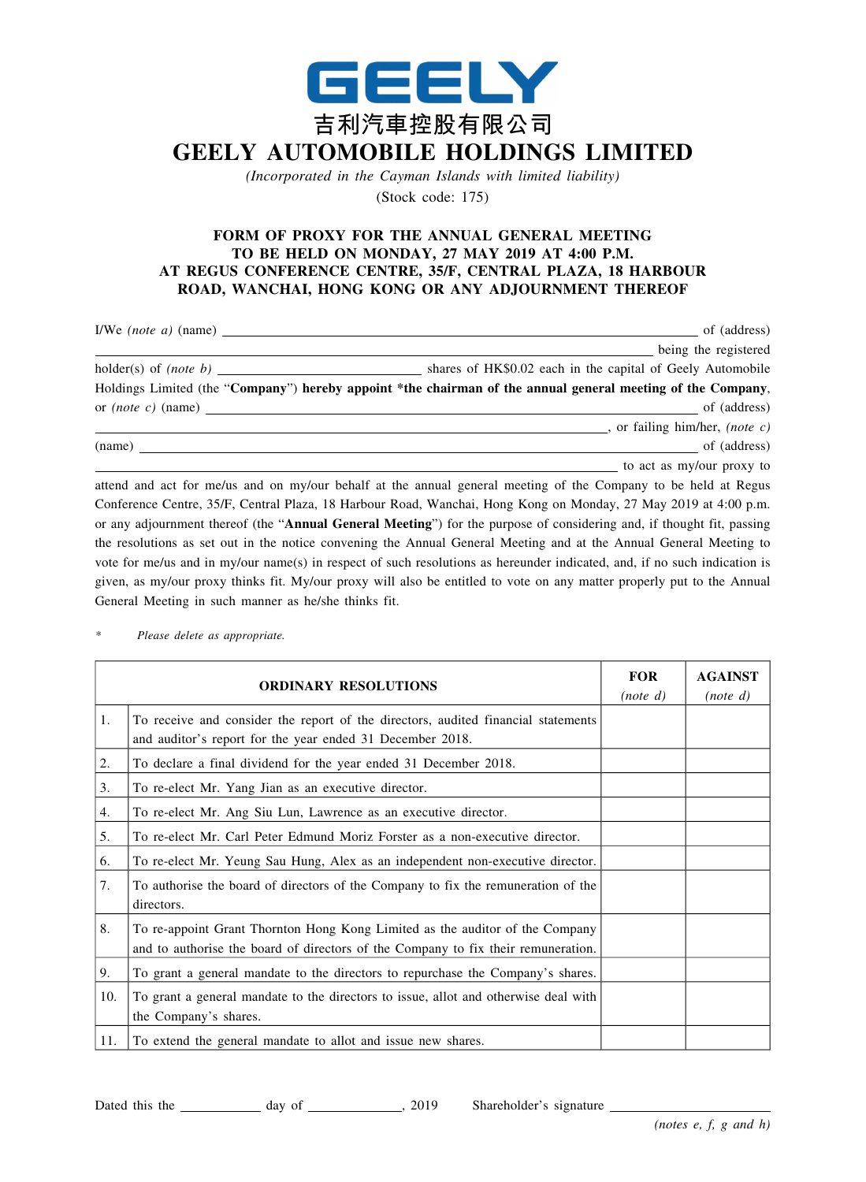

*(Incorporated in the Cayman Islands with limited liability)* (Stock code: 175)

## **FORM OF PROXY FOR THE ANNUAL GENERAL MEETING TO BE HELD ON MONDAY, 27 MAY 2019 AT 4:00 P.M. AT REGUS CONFERENCE CENTRE, 35/F, CENTRAL PLAZA, 18 HARBOUR ROAD, WANCHAI, HONG KONG OR ANY ADJOURNMENT THEREOF**

|        | of (address)                                                                                                   |  |
|--------|----------------------------------------------------------------------------------------------------------------|--|
|        | being the registered                                                                                           |  |
|        | shares of HK\$0.02 each in the capital of Geely Automobile                                                     |  |
|        | Holdings Limited (the "Company") hereby appoint *the chairman of the annual general meeting of the Company,    |  |
|        | or $(note c)$ (name) of $(address)$                                                                            |  |
|        | , or failing him/her, (note c)                                                                                 |  |
| (name) | $\sim$ of (address)                                                                                            |  |
|        | to act as my/our proxy to                                                                                      |  |
|        | attend and act for me/us and on my/our behalf at the annual general meeting of the Company to be held at Regus |  |

attend and act for me/us and on my/our behalf at the annual general meeting of the Company to be held at Regus Conference Centre, 35/F, Central Plaza, 18 Harbour Road, Wanchai, Hong Kong on Monday, 27 May 2019 at 4:00 p.m. or any adjournment thereof (the "**Annual General Meeting**") for the purpose of considering and, if thought fit, passing the resolutions as set out in the notice convening the Annual General Meeting and at the Annual General Meeting to vote for me/us and in my/our name(s) in respect of such resolutions as hereunder indicated, and, if no such indication is given, as my/our proxy thinks fit. My/our proxy will also be entitled to vote on any matter properly put to the Annual General Meeting in such manner as he/she thinks fit.

*\* Please delete as appropriate.*

| <b>ORDINARY RESOLUTIONS</b> |                                                                                                                                                                   | <b>FOR</b><br>(note d) | <b>AGAINST</b><br>(note d) |
|-----------------------------|-------------------------------------------------------------------------------------------------------------------------------------------------------------------|------------------------|----------------------------|
| 1.                          | To receive and consider the report of the directors, audited financial statements<br>and auditor's report for the year ended 31 December 2018.                    |                        |                            |
| 2.                          | To declare a final dividend for the year ended 31 December 2018.                                                                                                  |                        |                            |
| 3.                          | To re-elect Mr. Yang Jian as an executive director.                                                                                                               |                        |                            |
| 4.                          | To re-elect Mr. Ang Siu Lun, Lawrence as an executive director.                                                                                                   |                        |                            |
| 5.                          | To re-elect Mr. Carl Peter Edmund Moriz Forster as a non-executive director.                                                                                      |                        |                            |
| 6.                          | To re-elect Mr. Yeung Sau Hung, Alex as an independent non-executive director.                                                                                    |                        |                            |
| 7.                          | To authorise the board of directors of the Company to fix the remuneration of the<br>directors.                                                                   |                        |                            |
| 8.                          | To re-appoint Grant Thornton Hong Kong Limited as the auditor of the Company<br>and to authorise the board of directors of the Company to fix their remuneration. |                        |                            |
| 9.                          | To grant a general mandate to the directors to repurchase the Company's shares.                                                                                   |                        |                            |
| 10.                         | To grant a general mandate to the directors to issue, allot and otherwise deal with<br>the Company's shares.                                                      |                        |                            |
| 11.                         | To extend the general mandate to allot and issue new shares.                                                                                                      |                        |                            |